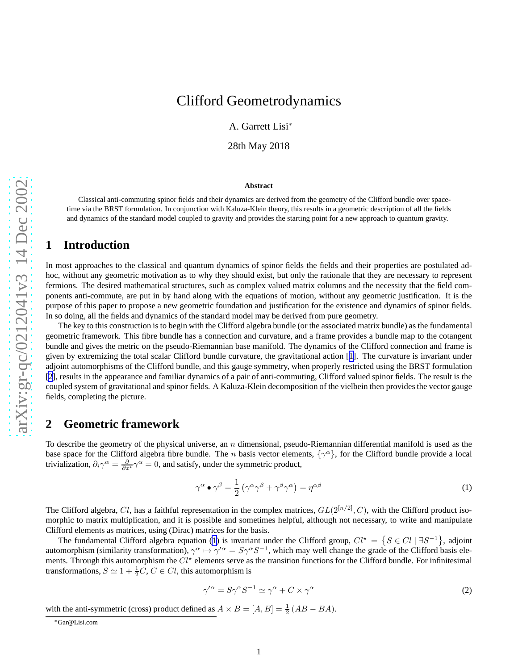# <span id="page-0-0"></span>Clifford Geometrodynamics

A. Garrett Lisi ∗

28th May 2018

#### **Abstract**

Classical anti-commuting spinor fields and their dynamics are derived from the geometry of the Clifford bundle over spacetime via the BRST formulation. In conjunction with Kaluza-Klein theory, this results in a geometric description of all the fields and dynamics of the standard model coupled to gravity and provides the starting point for a new approach to quantum gravity.

#### **1 Introduction**

In most approaches to the classical and quantum dynamics of spinor fields the fields and their properties are postulated adhoc, without any geometric motivation as to why they should exist, but only the rationale that they are necessary to represent fermions. The desired mathematical structures, such as complex valued matrix columns and the necessity that the field components anti-commute, are put in by hand along with the equations of motion, without any geometric justification. It is the purpose of this paper to propose a new geometric foundation and justification for the existence and dynamics of spinor fields. In so doing, all the fields and dynamics of the standard model may be derived from pure geometry.

The key to this construction is to begin with the Clifford algebra bundle (or the associated matrix bundle) as the fundamental geometric framework. This fibre bundle has a connection and curvature, and a frame provides a bundle map to the cotangent bundle and gives the metric on the pseudo-Riemannian base manifold. The dynamics of the Clifford connection and frame is given by extremizing the total scalar Clifford bundle curvature, the gravitational action [[1\]](#page-3-0). The curvature is invariant under adjoint automorphisms of the Clifford bundle, and this gauge symmetry, when properly restricted using the BRST formulation [\[2](#page-3-0)], results in the appearance and familiar dynamics of a pair of anti-commuting, Clifford valued spinor fields. The result is the coupled system of gravitational and spinor fields. A Kaluza-Klein decomposition of the vielbein then provides the vector gauge fields, completing the picture.

## **2 Geometric framework**

To describe the geometry of the physical universe, an  $n$  dimensional, pseudo-Riemannian differential manifold is used as the base space for the Clifford algebra fibre bundle. The *n* basis vector elements,  $\{\gamma^{\alpha}\}\$ , for the Clifford bundle provide a local trivialization,  $\partial_i \gamma^\alpha = \frac{\partial}{\partial x^i} \gamma^\alpha = 0$ , and satisfy, under the symmetric product,

$$
\gamma^{\alpha} \bullet \gamma^{\beta} = \frac{1}{2} \left( \gamma^{\alpha} \gamma^{\beta} + \gamma^{\beta} \gamma^{\alpha} \right) = \eta^{\alpha \beta} \tag{1}
$$

The Clifford algebra, Cl, has a faithful representation in the complex matrices,  $GL(2^{[n/2]}, C)$ , with the Clifford product isomorphic to matrix multiplication, and it is possible and sometimes helpful, although not necessary, to write and manipulate Clifford elements as matrices, using (Dirac) matrices for the basis.

The fundamental Clifford algebra equation (1) is invariant under the Clifford group,  $Cl^* = \{ S \in Cl \mid \exists S^{-1} \}$ , adjoint automorphism (similarity transformation),  $\gamma^{\alpha} \mapsto \gamma'^{\alpha} = S \gamma^{\alpha} S^{-1}$ , which may well change the grade of the Clifford basis elements. Through this automorphism the  $Cl^*$  elements serve as the transition functions for the Clifford bundle. For infinitesimal transformations,  $S \simeq 1 + \frac{1}{2}C$ ,  $C \in Cl$ , this automorphism is

$$
\gamma^{\prime \alpha} = S \gamma^{\alpha} S^{-1} \simeq \gamma^{\alpha} + C \times \gamma^{\alpha} \tag{2}
$$

with the anti-symmetric (cross) product defined as  $A \times B = [A, B] = \frac{1}{2} (AB - BA)$ .

<sup>∗</sup>Gar@Lisi.com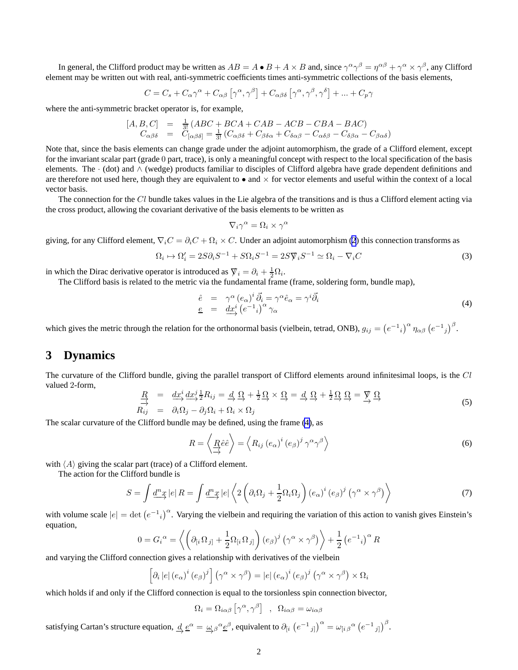<span id="page-1-0"></span>In general, the Clifford product may be written as  $AB = A \bullet B + A \times B$  and, since  $\gamma^{\alpha} \gamma^{\beta} = \eta^{\alpha \beta} + \gamma^{\alpha} \times \gamma^{\beta}$ , any Clifford element may be written out with real, anti-symmetric coefficients times anti-symmetric collections of the basis elements,

$$
C = C_s + C_{\alpha}\gamma^{\alpha} + C_{\alpha\beta} [\gamma^{\alpha}, \gamma^{\beta}] + C_{\alpha\beta\delta} [\gamma^{\alpha}, \gamma^{\beta}, \gamma^{\delta}] + ... + C_p \gamma
$$

where the anti-symmetric bracket operator is, for example,

$$
[A, B, C] = \frac{1}{3!} (ABC + BCA + CAB - ACB - CBA - BAC)
$$
  
\n
$$
C_{\alpha\beta\delta} = C_{[\alpha\beta\delta]} = \frac{1}{3!} (C_{\alpha\beta\delta} + C_{\beta\delta\alpha} + C_{\delta\alpha\beta} - C_{\alpha\delta\beta} - C_{\delta\beta\alpha} - C_{\beta\alpha\delta})
$$

Note that, since the basis elements can change grade under the adjoint automorphism, the grade of a Clifford element, except for the invariant scalar part (grade 0 part, trace), is only a meaningful concept with respect to the local specification of the basis elements. The · (dot) and ∧ (wedge) products familiar to disciples of Clifford algebra have grade dependent definitions and are therefore not used here, though they are equivalent to  $\bullet$  and  $\times$  for vector elements and useful within the context of a local vector basis.

The connection for the  $Cl$  bundle takes values in the Lie algebra of the transitions and is thus a Clifford element acting via the cross product, allowing the covariant derivative of the basis elements to be written as

$$
\nabla_i \gamma^\alpha = \Omega_i \times \gamma^\alpha
$$

giving, for any Clifford element,  $\nabla_i C = \partial_i C + \Omega_i \times C$ . Under an adjoint automorphism [\(2](#page-0-0)) this connection transforms as

$$
\Omega_i \mapsto \Omega_i' = 2S\partial_i S^{-1} + S\Omega_i S^{-1} = 2S \nabla_i S^{-1} \simeq \Omega_i - \nabla_i C \tag{3}
$$

in which the Dirac derivative operator is introduced as  $\overline{\mathbf{y}}_i = \partial_i + \frac{1}{2}\Omega_i$ .

The Clifford basis is related to the metric via the fundamental frame (frame, soldering form, bundle map),

$$
\begin{array}{rcl}\n\hat{e} & = & \gamma^{\alpha} \left( e_{\alpha} \right)^{i} \vec{\partial}_{i} = \gamma^{\alpha} \hat{e}_{\alpha} = \gamma^{i} \vec{\partial}_{i} \\
\underline{e} & = & \underline{dx}_{\gamma}^{i} \left( e^{-1}{}_{i} \right)^{\alpha} \gamma_{\alpha}\n\end{array} \tag{4}
$$

which gives the metric through the relation for the orthonormal basis (vielbein, tetrad, ONB),  $g_{ij} = (e^{-1}i)^{\alpha} \eta_{\alpha\beta} (e^{-1}j)^{\beta}$ .

#### **3 Dynamics**

The curvature of the Clifford bundle, giving the parallel transport of Clifford elements around infinitesimal loops, is the Cl valued 2-form,

$$
\frac{R}{\stackrel{\rightarrow}{\rightarrow}} = \frac{dx^i}{\stackrel{d}{\rightarrow}} \frac{dx^j}{\stackrel{1}{\rightarrow}} R_{ij} = \frac{A}{\stackrel{\sim}{\rightarrow}} \frac{\Omega}{\stackrel{\sim}{\rightarrow}} + \frac{1}{2} \frac{\Omega}{\stackrel{\sim}{\rightarrow}} \times \frac{\Omega}{\stackrel{\sim}{\rightarrow}} = \frac{A}{\stackrel{\sim}{\rightarrow}} \frac{\Omega}{\stackrel{\sim}{\rightarrow}} + \frac{1}{2} \frac{\Omega}{\stackrel{\sim}{\rightarrow}} \frac{\stackrel{\sim}{\rightarrow}} \frac{\Omega}{\stackrel{\sim}{\rightarrow}} = \frac{\cancel{V}}{\stackrel{\sim}{\rightarrow}} \frac{\Omega}{\stackrel{\sim}{\rightarrow}} \tag{5}
$$

The scalar curvature of the Clifford bundle may be defined, using the frame (4), as

$$
R = \left\langle \underset{\longrightarrow}{R} \hat{e} \hat{e} \right\rangle = \left\langle R_{ij} \left( e_{\alpha} \right)^{i} \left( e_{\beta} \right)^{j} \gamma^{\alpha} \gamma^{\beta} \right\rangle \tag{6}
$$

with  $\langle A \rangle$  giving the scalar part (trace) of a Clifford element.

The action for the Clifford bundle is

$$
S = \int \underline{d}^n \underline{x} \left| e \right| R = \int \underline{d}^n \underline{x} \left| e \right| \left\langle 2 \left( \partial_i \Omega_j + \frac{1}{2} \Omega_i \Omega_j \right) \left( e_\alpha \right)^i \left( e_\beta \right)^j \left( \gamma^\alpha \times \gamma^\beta \right) \right\rangle \tag{7}
$$

with volume scale  $|e| = \det (e^{-1}i)^{\alpha}$ . Varying the vielbein and requiring the variation of this action to vanish gives Einstein's equation,

$$
0 = G_i^{\alpha} = \left\langle \left( \partial_{[i} \Omega_{j]} + \frac{1}{2} \Omega_{[i} \Omega_{j]} \right) (e_{\beta})^j (\gamma^{\alpha} \times \gamma^{\beta}) \right\rangle + \frac{1}{2} (e^{-1}{}_{i})^{\alpha} R
$$

and varying the Clifford connection gives a relationship with derivatives of the vielbein

$$
\left[\partial_i\left|e\right|(e_\alpha)^i\left(e_\beta\right)^j\right]\left(\gamma^\alpha\times\gamma^\beta\right)=\left|e\right|\left(e_\alpha\right)^i\left(e_\beta\right)^j\left(\gamma^\alpha\times\gamma^\beta\right)\times\Omega_i
$$

which holds if and only if the Clifford connection is equal to the torsionless spin connection bivector,

 $\Omega_i = \Omega_{i\alpha\beta} \left[ \gamma^\alpha, \gamma^\beta \right] \ \ , \ \ \Omega_{i\alpha\beta} = \omega_{i\alpha\beta}$ 

satisfying Cartan's structure equation,  $\underline{d} \underline{e}^{\alpha} = \underline{\omega}_{\beta}{}^{\alpha} \underline{e}^{\beta}$ , equivalent to  $\partial_{[i} (e^{-1}{}_{j]})^{\alpha} = \omega_{[i}{}_{\beta}{}^{\alpha} (e^{-1}{}_{j]})^{\beta}$ .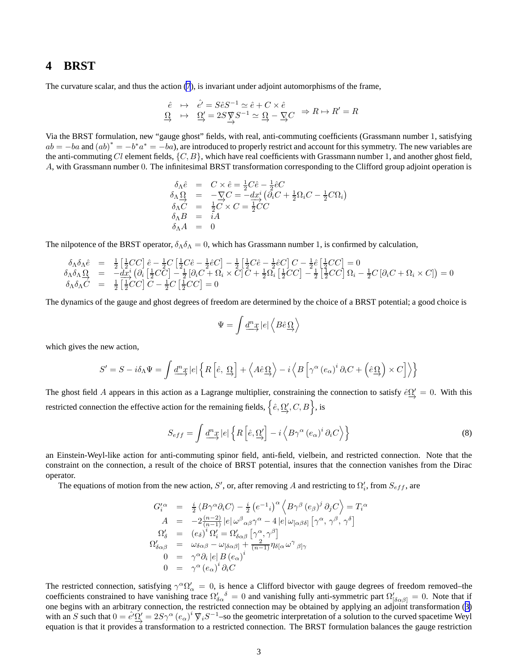#### <span id="page-2-0"></span>**4 BRST**

The curvature scalar, and thus the action [\(7](#page-1-0)), is invariant under adjoint automorphisms of the frame,

$$
\begin{array}{rcl}\n\hat{e} & \mapsto & \hat{e'} = S\hat{e}S^{-1} \simeq \hat{e} + C \times \hat{e} \\
\Omega & \mapsto & \Omega' = 2S \underset{\rightarrow}{\nabla} S^{-1} \simeq \Omega \xrightarrow{\nabla} C \xrightarrow{\Rightarrow} R \mapsto R' = R\n\end{array}
$$

Via the BRST formulation, new "gauge ghost" fields, with real, anti-commuting coefficients (Grassmann number 1, satisfying  $ab = -ba$  and  $(ab)^* = -b^*a^* = -ba$ , are introduced to properly restrict and account for this symmetry. The new variables are the anti-commuting Cl element fields,  $\{C, B\}$ , which have real coefficients with Grassmann number 1, and another ghost field, A, with Grassmann number 0. The infinitesimal BRST transformation corresponding to the Clifford group adjoint operation is

$$
\delta_{\Lambda}\hat{e} = C \times \hat{e} = \frac{1}{2}C\hat{e} - \frac{1}{2}\hat{e}C \n\delta_{\Lambda}\Omega = -\nabla_{\Lambda}C = -dx_{\lambda}^{i} \left(\partial_{i}C + \frac{1}{2}\Omega_{i}C - \frac{1}{2}C\Omega_{i}\right) \n\delta_{\Lambda}C = \frac{1}{2}C \times C = \frac{1}{2}CC \n\delta_{\Lambda}B = iA \n\delta_{\Lambda}A = 0
$$

The nilpotence of the BRST operator,  $\delta_{\Lambda}\delta_{\Lambda} = 0$ , which has Grassmann number 1, is confirmed by calculation,

$$
\begin{array}{rcl}\n\delta_{\Lambda}\delta_{\Lambda}\hat{e} &=& \frac{1}{2}\left[\frac{1}{2}CC\right]\hat{e} - \frac{1}{2}C\left[\frac{1}{2}C\hat{e} - \frac{1}{2}\hat{e}C\right] - \frac{1}{2}\left[\frac{1}{2}C\hat{e} - \frac{1}{2}\hat{e}C\right]C - \frac{1}{2}\hat{e}\left[\frac{1}{2}CC\right] = 0 \\
\delta_{\Lambda}\delta_{\Lambda}\Omega &=& -dx_{\chi}^{i}\left(\partial_{i}\left[\frac{1}{2}CC\right] - \frac{1}{2}\left[\partial_{i}C + \Omega_{i} \times C\right]C + \frac{1}{2}\Omega_{i}\left[\frac{1}{2}CC\right] - \frac{1}{2}\left[\frac{1}{2}CC\right]\Omega_{i} - \frac{1}{2}C\left[\partial_{i}C + \Omega_{i} \times C\right]\right) = 0 \\
\delta_{\Lambda}\delta_{\Lambda}\hat{C} &=& \frac{1}{2}\left[\frac{1}{2}CC\right]C - \frac{1}{2}C\left[\frac{1}{2}CC\right] = 0\n\end{array}
$$

The dynamics of the gauge and ghost degrees of freedom are determined by the choice of a BRST potential; a good choice is

$$
\Psi = \int \underline{d}^n \underline{x} \left| e \right| \left\langle B \hat{e} \underline{\Omega} \right\rangle
$$

which gives the new action,

$$
S' = S - i\delta_{\Lambda}\Psi = \int \underline{d}^{n}\underline{x} |e| \left\{ R \left[ \hat{e}, \underline{\Omega} \right] + \left\langle A\hat{e}\underline{\Omega} \right\rangle - i \left\langle B \left[ \gamma^{\alpha} \left( e_{\alpha} \right)^{i} \partial_{i}C + \left( \hat{e}\underline{\Omega} \right) \times C \right] \right\rangle \right\}
$$

The ghost field A appears in this action as a Lagrange multiplier, constraining the connection to satisfy  $\hat{e}^0 \underline{Q}' = 0$ . With this restricted connection the effective action for the remaining fields,  $\left\{\hat{e},\underline{\Omega'_{\!\cdot}},C,B\right\}$ , is

$$
S_{eff} = \int \underline{d^n x} |e| \left\{ R \left[ \hat{e}, \underline{\Omega'} \right] - i \left\langle B \gamma^{\alpha} \left( e_{\alpha} \right)^{i} \partial_i C \right\rangle \right\}
$$
 (8)

an Einstein-Weyl-like action for anti-commuting spinor field, anti-field, vielbein, and restricted connection. Note that the constraint on the connection, a result of the choice of BRST potential, insures that the connection vanishes from the Dirac operator.

The equations of motion from the new action, S', or, after removing A and restricting to  $\Omega'_i$ , from  $S_{eff}$ , are

$$
G_i^{\prime \alpha} = \frac{i}{2} \langle B \gamma^{\alpha} \partial_i C \rangle - \frac{i}{2} \left( e^{-1}{}_{i} \right)^{\alpha} \left\langle B \gamma^{\beta} \left( e_{\beta} \right)^{j} \partial_j C \right\rangle = T_i^{\alpha}
$$
  
\n
$$
A = -2 \frac{(n-2)}{(n-1)} |e| \omega^{\beta}{}_{\alpha\beta} \gamma^{\alpha} - 4 |e| \omega_{[\alpha\beta\delta]} [\gamma^{\alpha}, \gamma^{\beta}, \gamma^{\delta}]
$$
  
\n
$$
\Omega_{\delta}^{\prime} = (e_{\delta})^i \Omega_i^{\prime} = \Omega_{\delta\alpha\beta}^{\prime} [\gamma^{\alpha}, \gamma^{\beta}]
$$
  
\n
$$
\Omega_{\delta\alpha\beta}^{\prime} = \omega_{\delta\alpha\beta} - \omega_{[\delta\alpha\beta]} + \frac{2}{(n-1)} \eta_{\delta[\alpha} \omega^{\gamma}{}_{\beta] \gamma}
$$
  
\n
$$
0 = \gamma^{\alpha} \partial_i |e| B (e_{\alpha})^i
$$
  
\n
$$
0 = \gamma^{\alpha} (e_{\alpha})^i \partial_i C
$$

The restricted connection, satisfying  $\gamma^{\alpha}\Omega'_{\alpha} = 0$ , is hence a Clifford bivector with gauge degrees of freedom removed–the coefficients constrained to have vanishing trace  $\Omega'$  $\delta_{\alpha}$   $\delta$  = 0 and vanishing fully anti-symmetric part  $\Omega'_{\delta \alpha \beta}$  = 0. Note that if one begins with an arbitrary connection, the restricted connection may be obtained by applying an adjoint transformation ([3\)](#page-1-0) with an S such that  $0 = \hat{e}^{\prime} \Omega'$ .  $\Omega' = 2S\gamma^{\alpha} (e_{\alpha})^i \nabla_i S^{-1}$ –so the geometric interpretation of a solution to the curved spacetime Weyl equation is that it provides a transformation to a restricted connection. The BRST formulation balances the gauge restriction